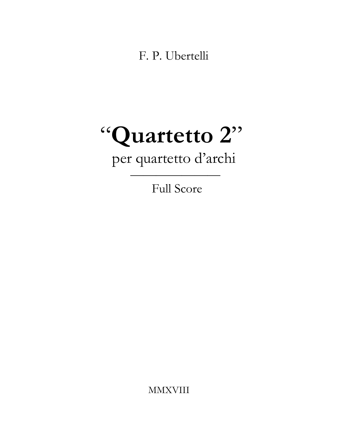F. P. Ubertelli

## "**Quartetto 2**"

## per quartetto d'archi

Full Score

 $\overline{\phantom{a}}$  , where  $\overline{\phantom{a}}$  , where  $\overline{\phantom{a}}$  , where  $\overline{\phantom{a}}$  , where  $\overline{\phantom{a}}$ 

MMXVIII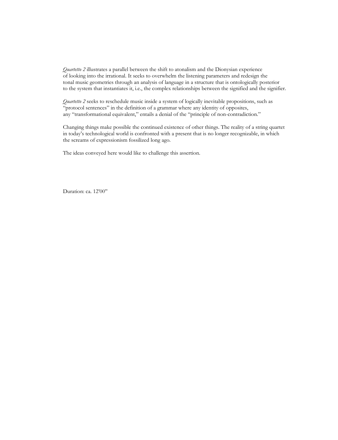*Quartetto 2* illustrates a parallel between the shift to atonalism and the Dionysian experience of looking into the irrational. It seeks to overwhelm the listening parameters and redesign the tonal music geometries through an analysis of language in astructure that is ontologically posterior to the system that instantiates it, i.e., the complex relationships between the signified and the signifier.

*Quartetto 2* seeks to reschedule music inside a system of logically inevitable propositions, such as "protocol sentences" in the definition of a grammar where any identity of opposites, any "transformational equivalent," entails a denial of the "principle of non-contradiction."

Changing things make possible the continued existence of other things. The reality of a string quartet in today's technological world is confronted with a present that is no longer recognizable, in which the screams of expressionism fossilized long ago.

The ideas conveyed here would like to challenge this assertion.

Duration: ca. 12'00''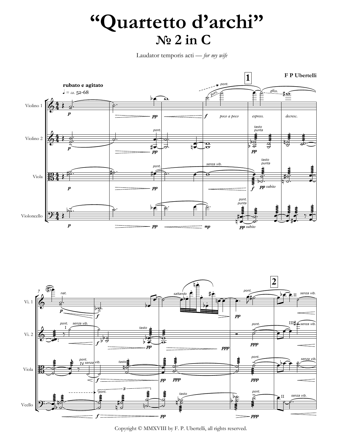## **№ 2 in C "Quartetto d'archi"**

Laudator temporis acti — *for my wife*





Copyright © MMXVIII by F. P. Ubertelli, all rights reserved.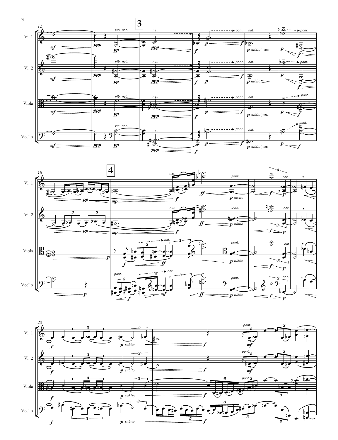



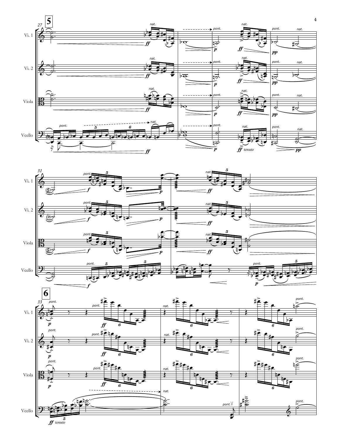



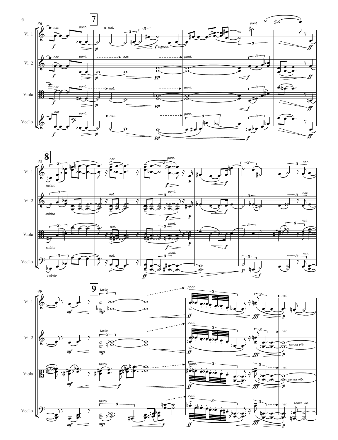



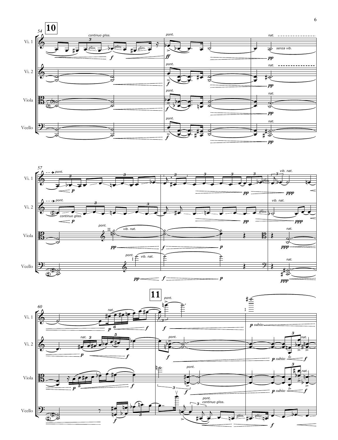



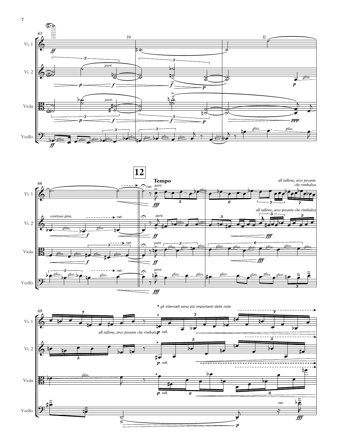





7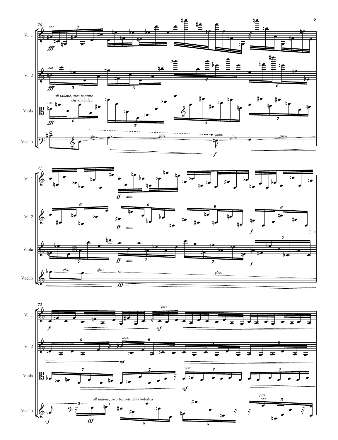



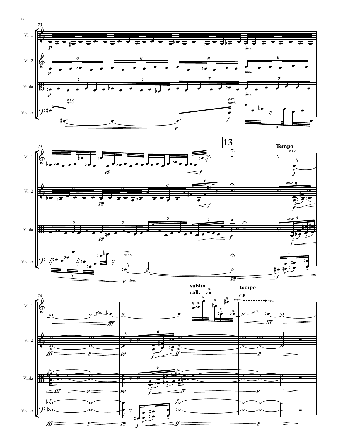



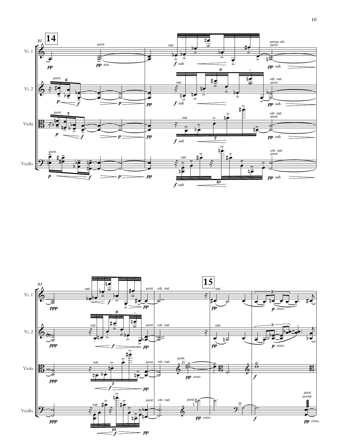

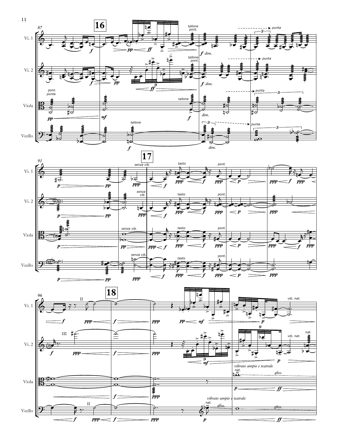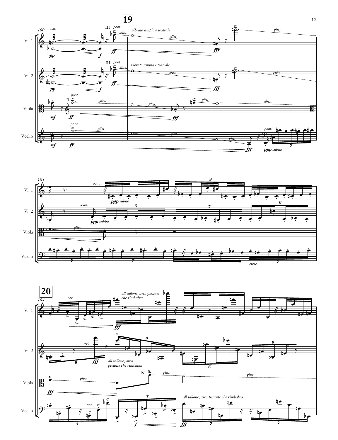



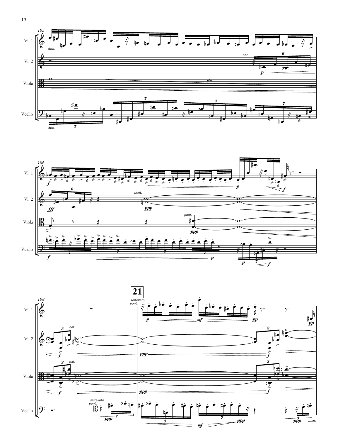



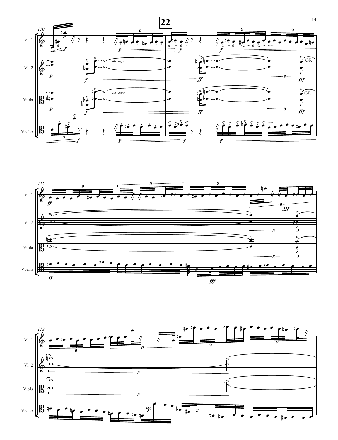



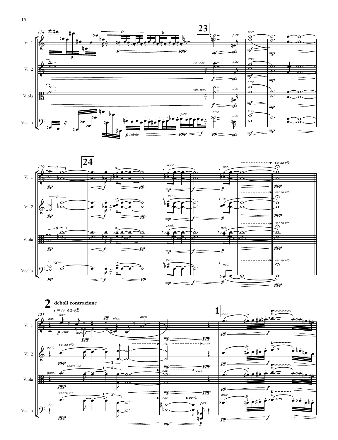



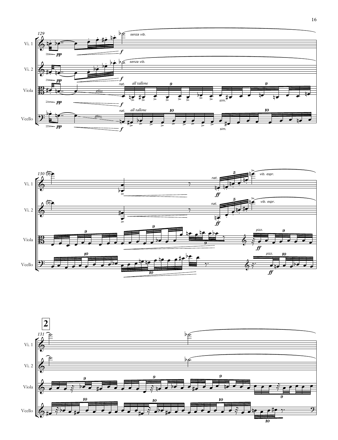



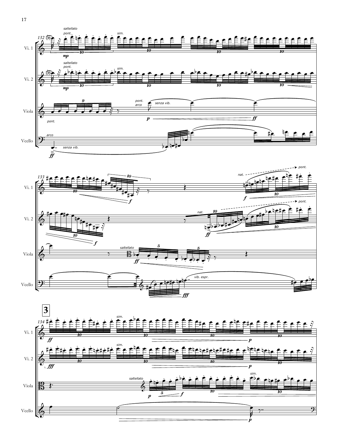



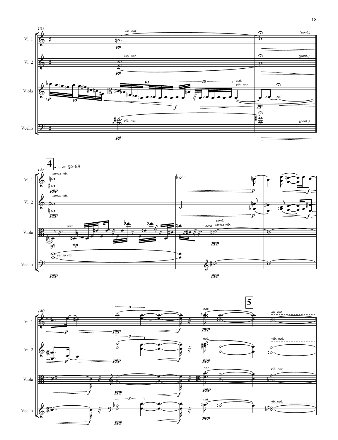